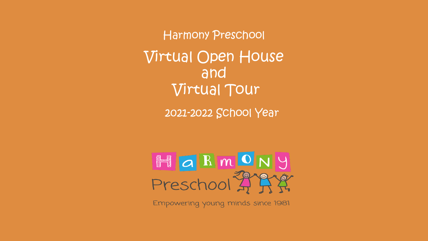Harmony Preschool Virtual Open House and Virtual Tour

2021-2022 School Year



Empowering young minds since 1981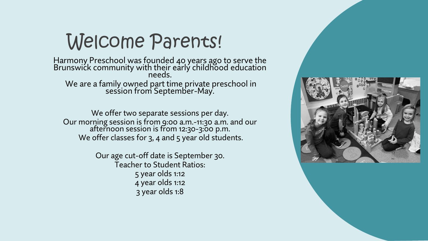### Welcome Parents!

Harmony Preschool was founded 40 years ago to serve the Brunswićk community with their early childhood education needs. We are a family owned part time private preschool in session from September-May.

We offer two separate sessions per day. Our morning session is from 9:00 a.m.-11:30 a.m. and our afternoon session is from 12:30-3:00 p.m. We offer classes for 3, 4 and 5 year old students.

> Our age cut-off date is September 30. Teacher to Student Ratios: 5 year olds 1:12 4 year olds 1:12 3 year olds 1:8

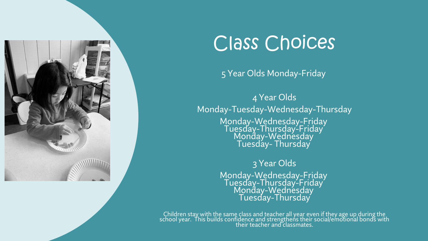

### Class Choices

#### 5 Year Olds Monday-Friday

4 Year Olds Monday-Tuesday-Wednesday-Thursday Monday-Wednesday-Friday Tuesday-Thursday-Friday Monday-Wednésday Tuesday- Thursday

> 3 Year Olds Monday-Wednesday-Friday Tuesday-Thursday-Friday Monday-Wednésday Tuesday-Thursday

Children stay with the same class and teacher all year even if they age up during the school year. This builds confidence and strengthens their social/emotional bonds with their teacher and classmates.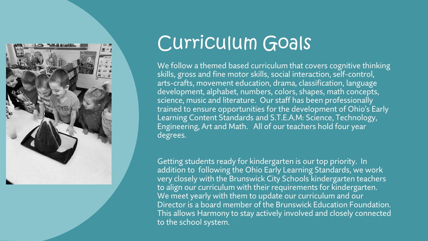

### Curriculum Goals

We follow a themed based curriculum that covers cognitive thinking skills, gross and fine motor skills, social interaction, self-control, arts-crafts, movement education, drama, classification, language development, alphabet, numbers, colors, shapes, math concepts, science, music and literature. Our staff has been professionally trained to ensure opportunities for the development of Ohio's Early Learning Content Standards and S.T.E.A.M: Science, Technology, Engineering, Art and Math. All of our teachers hold four year degrees.

Getting students ready for kindergarten is our top priority. In addition to following the Ohio Early Learning Standards, we work very closely with the Brunswick City Schools kindergarten teachers to align our curriculum with their requirements for kindergarten. We meet yearly with them to update our curriculum and our Director is a board member of the Brunswick Education Foundation. This allows Harmony to stay actively involved and closely connected to the school system.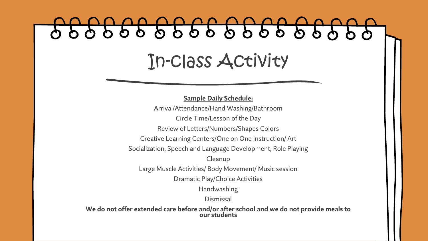# 0 0 0 0 0 0 0 0 0 0 0 0 0 0 0 0 In-class Activity

**Sample Daily Schedule:**

Arrival/Attendance/Hand Washing/Bathroom Circle Time/Lesson of the Day Review of Letters/Numbers/Shapes Colors Creative Learning Centers/One on One Instruction/ Art Socialization, Speech and Language Development, Role Playing **Cleanup** 

Large Muscle Activities/ Body Movement/ Music session

Dramatic Play/Choice Activities

Handwashing

Dismissal

**We do not offer extended care before and/or after school and we do not provide meals to our students**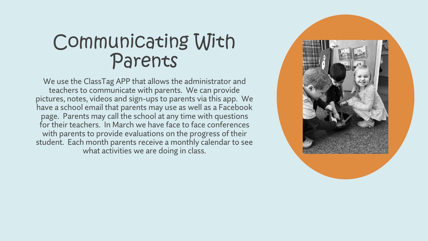#### Communicating With Parents

We use the ClassTag APP that allows the administrator and teachers to communicate with parents. We can provide pictures, notes, videos and sign-ups to parents via this app. We have a school email that parents may use as well as a Facebook page. Parents may call the school at any time with questions for their teachers. In March we have face to face conferences with parents to provide evaluations on the progress of their student. Each month parents receive a monthly calendar to see what activities we are doing in class.

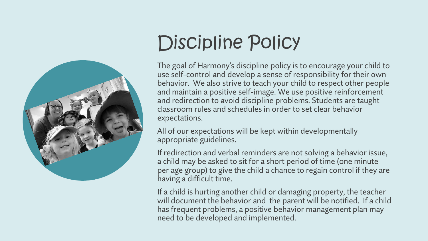

# Discipline Policy

The goal of Harmony's discipline policy is to encourage your child to use self-control and develop a sense of responsibility for their own behavior. We also strive to teach your child to respect other people and maintain a positive self-image. We use positive reinforcement and redirection to avoid discipline problems. Students are taught classroom rules and schedules in order to set clear behavior expectations.

All of our expectations will be kept within developmentally appropriate guidelines.

If redirection and verbal reminders are not solving a behavior issue, a child may be asked to sit for a short period of time (one minute per age group) to give the child a chance to regain control if they are having a difficult time.

If a child is hurting another child or damaging property, the teacher will document the behavior and the parent will be notified. If a child has frequent problems, a positive behavior management plan may need to be developed and implemented.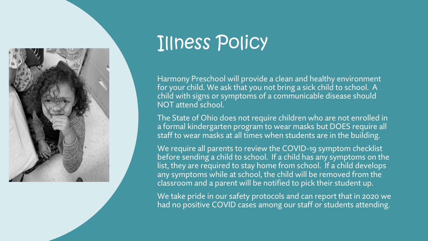

## Illness Policy

Harmony Preschool will provide a clean and healthy environment for your child. We ask that you not bring a sick child to school. A child with signs or symptoms of a communicable disease should NOT attend school.

The State of Ohio does not require children who are not enrolled in a formal kindergarten program to wear masks but DOES require all staff to wear masks at all times when students are in the building.

We require all parents to review the COVID-19 symptom checklist before sending a child to school. If a child has any symptoms on the list, they are required to stay home from school. If a child develops any symptoms while at school, the child will be removed from the classroom and a parent will be notified to pick their student up.

We take pride in our safety protocols and can report that in 2020 we had no positive COVID cases among our staff or students attending.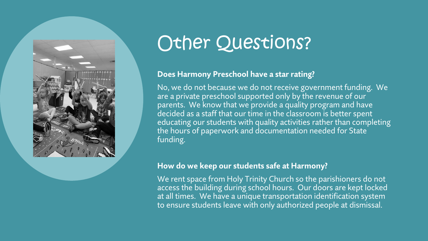

## Other Questions?

#### **Does Harmony Preschool have a star rating?**

No, we do not because we do not receive government funding. We are a private preschool supported only by the revenue of our parents. We know that we provide a quality program and have decided as a staff that our time in the classroom is better spent educating our students with quality activities rather than completing the hours of paperwork and documentation needed for State funding.

#### **How do we keep our students safe at Harmony?**

We rent space from Holy Trinity Church so the parishioners do not access the building during school hours. Our doors are kept locked at all times. We have a unique transportation identification system to ensure students leave with only authorized people at dismissal.